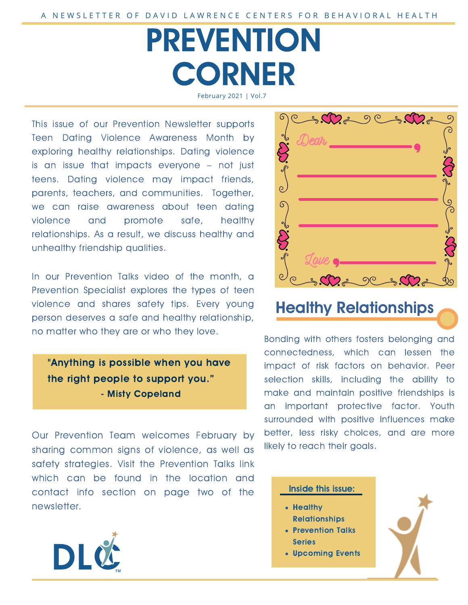# PREVENTION **CORNER** February 2021 | Vol.7

This issue of our Prevention Newsletter supports Teen Dating Violence Awareness Month by exploring healthy relationships. Dating violence<br>is an issue that impacts everyone – not just is an issue that impacts everyone – not just teens. Dating violence may impact friends, parents, teachers, and communities. Together, we can raise awareness about teen dating 6 violence and promote safe, healthy relationships. As a result, we discuss healthy and unhealthy friendship qualities.

In our Prevention Talks video of the month, a Prevention Specialist explores the types of teen violence and shares safety tips. Every young person deserves a safe and healthy relationship, no matter who they are or who they love.

"Anything is possible when you have the right people to support you." - Misty Copeland

Our Prevention Team welcomes February by sharing common signs of violence, as well as safety strategies. Visit the Prevention Talks link which can be found in the location and contact info section on page two of the newsletter.





## Healthy Relationships

Bonding with others fosters belonging and connectedness, which can lessen the impact of risk factors on behavior. Peer selection skills, including the ability to make and maintain positive friendships is an important protective factor. Youth surrounded with positive influences make better, less risky choices, and are more likely to reach their goals.

#### Inside this issue:

- Healthy Relationships
- Prevention Talks
- Series
- Upcoming Events